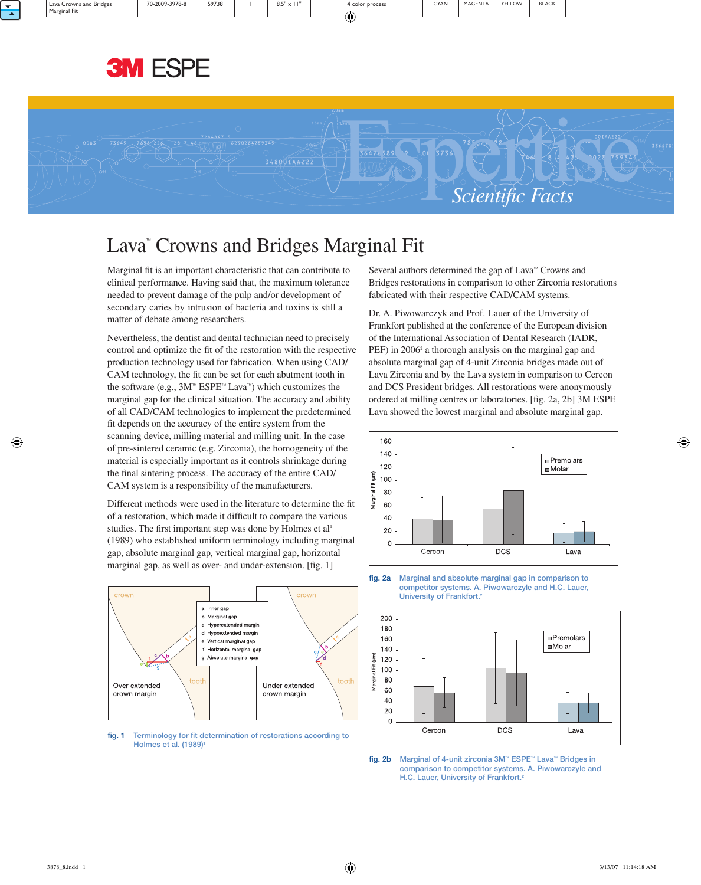



# Lava" Crowns and Bridges Marginal Fit

Marginal fit is an important characteristic that can contribute to clinical performance. Having said that, the maximum tolerance needed to prevent damage of the pulp and/or development of secondary caries by intrusion of bacteria and toxins is still a matter of debate among researchers.

Nevertheless, the dentist and dental technician need to precisely control and optimize the fit of the restoration with the respective production technology used for fabrication. When using CAD/ CAM technology, the fit can be set for each abutment tooth in the software (e.g., 3M™ ESPE™ Lava™) which customizes the marginal gap for the clinical situation. The accuracy and ability of all CAD/CAM technologies to implement the predetermined fit depends on the accuracy of the entire system from the scanning device, milling material and milling unit. In the case of pre-sintered ceramic (e.g. Zirconia), the homogeneity of the material is especially important as it controls shrinkage during the final sintering process. The accuracy of the entire CAD/ CAM system is a responsibility of the manufacturers.

Different methods were used in the literature to determine the fit of a restoration, which made it difficult to compare the various studies. The first important step was done by Holmes et al<sup>1</sup> (1989) who established uniform terminology including marginal gap, absolute marginal gap, vertical marginal gap, horizontal marginal gap, as well as over- and under-extension. [fig. 1]



fig. 1 Terminology for fit determination of restorations according to Holmes et al. (1989)<sup>1</sup>

Several authors determined the gap of Lava™ Crowns and Bridges restorations in comparison to other Zirconia restorations fabricated with their respective CAD/CAM systems.

Dr. A. Piwowarczyk and Prof. Lauer of the University of Frankfort published at the conference of the European division of the International Association of Dental Research (IADR, PEF) in 2006<sup>2</sup> a thorough analysis on the marginal gap and absolute marginal gap of 4-unit Zirconia bridges made out of Lava Zirconia and by the Lava system in comparison to Cercon and DCS President bridges. All restorations were anonymously ordered at milling centres or laboratories. [fig. 2a, 2b] 3M ESPE Lava showed the lowest marginal and absolute marginal gap.



fig. 2a Marginal and absolute marginal gap in comparison to competitor systems. A. Piwowarczyle and H.C. Lauer, University of Frankfort.<sup>2</sup>



fig. 2b Marginal of 4-unit zirconia 3M™ ESPE™ Lava™ Bridges in comparison to competitor systems. A. Piwowarczyle and H.C. Lauer, University of Frankfort.<sup>2</sup>